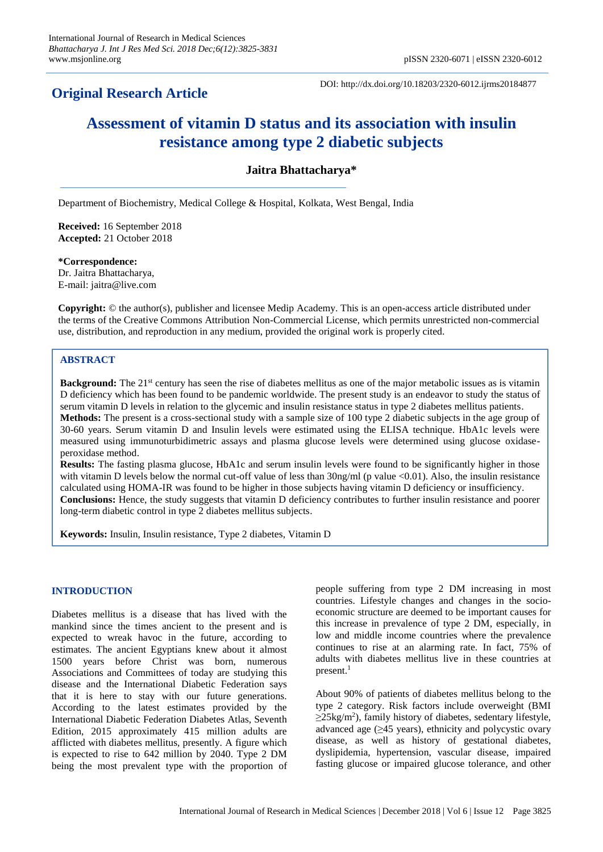## **Original Research Article**

DOI: http://dx.doi.org/10.18203/2320-6012.ijrms20184877

# **Assessment of vitamin D status and its association with insulin resistance among type 2 diabetic subjects**

## **Jaitra Bhattacharya\***

Department of Biochemistry, Medical College & Hospital, Kolkata, West Bengal, India

**Received:** 16 September 2018 **Accepted:** 21 October 2018

**\*Correspondence:** Dr. Jaitra Bhattacharya, E-mail: jaitra@live.com

**Copyright:** © the author(s), publisher and licensee Medip Academy. This is an open-access article distributed under the terms of the Creative Commons Attribution Non-Commercial License, which permits unrestricted non-commercial use, distribution, and reproduction in any medium, provided the original work is properly cited.

## **ABSTRACT**

**Background:** The 21<sup>st</sup> century has seen the rise of diabetes mellitus as one of the major metabolic issues as is vitamin D deficiency which has been found to be pandemic worldwide. The present study is an endeavor to study the status of serum vitamin D levels in relation to the glycemic and insulin resistance status in type 2 diabetes mellitus patients. **Methods:** The present is a cross-sectional study with a sample size of 100 type 2 diabetic subjects in the age group of 30-60 years. Serum vitamin D and Insulin levels were estimated using the ELISA technique. HbA1c levels were measured using immunoturbidimetric assays and plasma glucose levels were determined using glucose oxidaseperoxidase method.

**Results:** The fasting plasma glucose, HbA1c and serum insulin levels were found to be significantly higher in those with vitamin D levels below the normal cut-off value of less than  $30\text{ng/ml}$  (p value  $\langle 0.01 \rangle$ ). Also, the insulin resistance calculated using HOMA-IR was found to be higher in those subjects having vitamin D deficiency or insufficiency. **Conclusions:** Hence, the study suggests that vitamin D deficiency contributes to further insulin resistance and poorer long-term diabetic control in type 2 diabetes mellitus subjects.

**Keywords:** Insulin, Insulin resistance, Type 2 diabetes, Vitamin D

### **INTRODUCTION**

Diabetes mellitus is a disease that has lived with the mankind since the times ancient to the present and is expected to wreak havoc in the future, according to estimates. The ancient Egyptians knew about it almost 1500 years before Christ was born, numerous Associations and Committees of today are studying this disease and the International Diabetic Federation says that it is here to stay with our future generations. According to the latest estimates provided by the International Diabetic Federation Diabetes Atlas, Seventh Edition, 2015 approximately 415 million adults are afflicted with diabetes mellitus, presently. A figure which is expected to rise to 642 million by 2040. Type 2 DM being the most prevalent type with the proportion of people suffering from type 2 DM increasing in most countries. Lifestyle changes and changes in the socioeconomic structure are deemed to be important causes for this increase in prevalence of type 2 DM, especially, in low and middle income countries where the prevalence continues to rise at an alarming rate. In fact, 75% of adults with diabetes mellitus live in these countries at present.<sup>1</sup>

About 90% of patients of diabetes mellitus belong to the type 2 category. Risk factors include overweight (BMI  $\geq$ 25kg/m<sup>2</sup>), family history of diabetes, sedentary lifestyle, advanced age  $(\geq 45$  years), ethnicity and polycystic ovary disease, as well as history of gestational diabetes, dyslipidemia, hypertension, vascular disease, impaired fasting glucose or impaired glucose tolerance, and other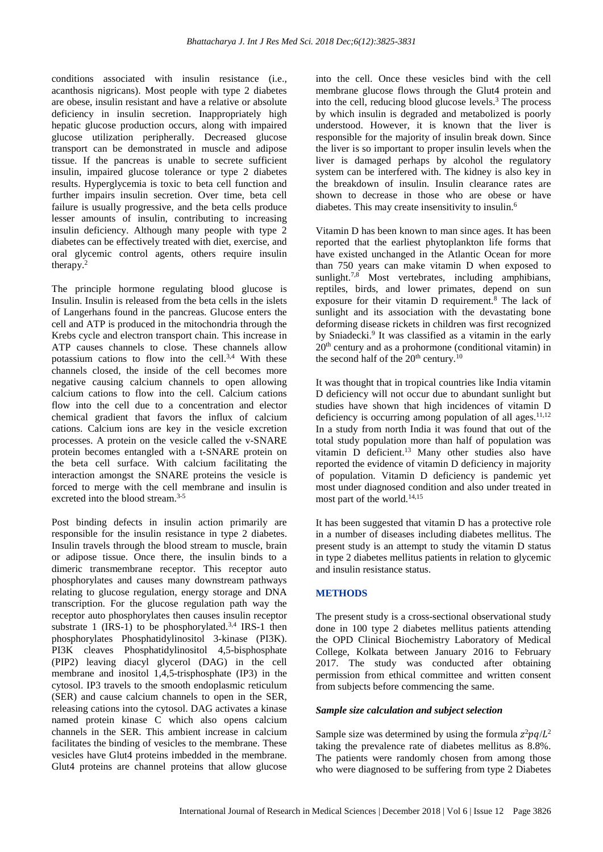conditions associated with insulin resistance (i.e., acanthosis nigricans). Most people with type 2 diabetes are obese, insulin resistant and have a relative or absolute deficiency in insulin secretion. Inappropriately high hepatic glucose production occurs, along with impaired glucose utilization peripherally. Decreased glucose transport can be demonstrated in muscle and adipose tissue. If the pancreas is unable to secrete sufficient insulin, impaired glucose tolerance or type 2 diabetes results. Hyperglycemia is toxic to beta cell function and further impairs insulin secretion. Over time, beta cell failure is usually progressive, and the beta cells produce lesser amounts of insulin, contributing to increasing insulin deficiency. Although many people with type 2 diabetes can be effectively treated with diet, exercise, and oral glycemic control agents, others require insulin therapy.<sup>2</sup>

The principle hormone regulating blood glucose is Insulin. Insulin is released from the beta cells in the islets of Langerhans found in the pancreas. Glucose enters the cell and ATP is produced in the mitochondria through the Krebs cycle and electron transport chain. This increase in ATP causes channels to close. These channels allow potassium cations to flow into the cell.<sup>3,4</sup> With these channels closed, the inside of the cell becomes more negative causing calcium channels to open allowing calcium cations to flow into the cell. Calcium cations flow into the cell due to a concentration and elector chemical gradient that favors the influx of calcium cations. Calcium ions are key in the vesicle excretion processes. A protein on the vesicle called the v-SNARE protein becomes entangled with a t-SNARE protein on the beta cell surface. With calcium facilitating the interaction amongst the SNARE proteins the vesicle is forced to merge with the cell membrane and insulin is excreted into the blood stream.3-5

Post binding defects in insulin action primarily are responsible for the insulin resistance in type 2 diabetes. Insulin travels through the blood stream to muscle, brain or adipose tissue. Once there, the insulin binds to a dimeric transmembrane receptor. This receptor auto phosphorylates and causes many downstream pathways relating to glucose regulation, energy storage and DNA transcription. For the glucose regulation path way the receptor auto phosphorylates then causes insulin receptor substrate 1  $(RS-1)$  to be phosphorylated.<sup>3,4</sup> IRS-1 then phosphorylates Phosphatidylinositol 3-kinase (PI3K). PI3K cleaves Phosphatidylinositol 4,5-bisphosphate (PIP2) leaving diacyl glycerol (DAG) in the cell membrane and inositol 1,4,5-trisphosphate (IP3) in the cytosol. IP3 travels to the smooth endoplasmic reticulum (SER) and cause calcium channels to open in the SER, releasing cations into the cytosol. DAG activates a kinase named protein kinase C which also opens calcium channels in the SER. This ambient increase in calcium facilitates the binding of vesicles to the membrane. These vesicles have Glut4 proteins imbedded in the membrane. Glut4 proteins are channel proteins that allow glucose

into the cell. Once these vesicles bind with the cell membrane glucose flows through the Glut4 protein and into the cell, reducing blood glucose levels.<sup>3</sup> The process by which insulin is degraded and metabolized is poorly understood. However, it is known that the liver is responsible for the majority of insulin break down. Since the liver is so important to proper insulin levels when the liver is damaged perhaps by alcohol the regulatory system can be interfered with. The kidney is also key in the breakdown of insulin. Insulin clearance rates are shown to decrease in those who are obese or have diabetes. This may create insensitivity to insulin.<sup>6</sup>

Vitamin D has been known to man since ages. It has been reported that the earliest phytoplankton life forms that have existed unchanged in the Atlantic Ocean for more than 750 years can make vitamin D when exposed to sunlight.<sup>7,8</sup> Most vertebrates, including amphibians, reptiles, birds, and lower primates, depend on sun exposure for their vitamin D requirement.<sup>8</sup> The lack of sunlight and its association with the devastating bone deforming disease rickets in children was first recognized by Sniadecki.<sup>9</sup> It was classified as a vitamin in the early 20th century and as a prohormone (conditional vitamin) in the second half of the  $20<sup>th</sup>$  century.<sup>10</sup>

It was thought that in tropical countries like India vitamin D deficiency will not occur due to abundant sunlight but studies have shown that high incidences of vitamin D deficiency is occurring among population of all ages. $11,12$ In a study from north India it was found that out of the total study population more than half of population was vitamin D deficient.<sup>13</sup> Many other studies also have reported the evidence of vitamin D deficiency in majority of population. Vitamin D deficiency is pandemic yet most under diagnosed condition and also under treated in most part of the world.<sup>14,15</sup>

It has been suggested that vitamin D has a protective role in a number of diseases including diabetes mellitus. The present study is an attempt to study the vitamin D status in type 2 diabetes mellitus patients in relation to glycemic and insulin resistance status.

## **METHODS**

The present study is a cross-sectional observational study done in 100 type 2 diabetes mellitus patients attending the OPD Clinical Biochemistry Laboratory of Medical College, Kolkata between January 2016 to February 2017. The study was conducted after obtaining permission from ethical committee and written consent from subjects before commencing the same.

## *Sample size calculation and subject selection*

Sample size was determined by using the formula  $z^2pq/L^2$ taking the prevalence rate of diabetes mellitus as 8.8%. The patients were randomly chosen from among those who were diagnosed to be suffering from type 2 Diabetes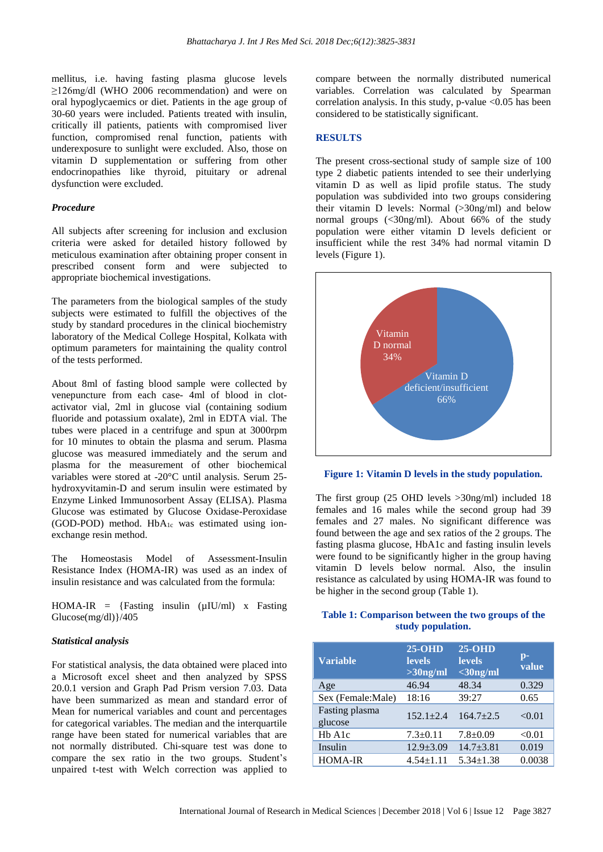mellitus, i.e. having fasting plasma glucose levels ≥126mg/dl (WHO 2006 recommendation) and were on oral hypoglycaemics or diet. Patients in the age group of 30-60 years were included. Patients treated with insulin, critically ill patients, patients with compromised liver function, compromised renal function, patients with underexposure to sunlight were excluded. Also, those on vitamin D supplementation or suffering from other endocrinopathies like thyroid, pituitary or adrenal dysfunction were excluded.

#### *Procedure*

All subjects after screening for inclusion and exclusion criteria were asked for detailed history followed by meticulous examination after obtaining proper consent in prescribed consent form and were subjected to appropriate biochemical investigations.

The parameters from the biological samples of the study subjects were estimated to fulfill the objectives of the study by standard procedures in the clinical biochemistry laboratory of the Medical College Hospital, Kolkata with optimum parameters for maintaining the quality control of the tests performed.

About 8ml of fasting blood sample were collected by venepuncture from each case- 4ml of blood in clotactivator vial, 2ml in glucose vial (containing sodium fluoride and potassium oxalate), 2ml in EDTA vial. The tubes were placed in a centrifuge and spun at 3000rpm for 10 minutes to obtain the plasma and serum. Plasma glucose was measured immediately and the serum and plasma for the measurement of other biochemical variables were stored at -20°C until analysis. Serum 25 hydroxyvitamin-D and serum insulin were estimated by Enzyme Linked Immunosorbent Assay (ELISA). Plasma Glucose was estimated by Glucose Oxidase-Peroxidase (GOD-POD) method. HbA<sub>1c</sub> was estimated using ionexchange resin method.

The Homeostasis Model of Assessment-Insulin Resistance Index (HOMA-IR) was used as an index of insulin resistance and was calculated from the formula:

HOMA-IR = {Fasting insulin  $(\mu I U/ml)$  x Fasting Glucose(mg/dl)}/405

#### *Statistical analysis*

For statistical analysis, the data obtained were placed into a Microsoft excel sheet and then analyzed by SPSS 20.0.1 version and Graph Pad Prism version 7.03. Data have been summarized as mean and standard error of Mean for numerical variables and count and percentages for categorical variables. The median and the interquartile range have been stated for numerical variables that are not normally distributed. Chi-square test was done to compare the sex ratio in the two groups. Student's unpaired t-test with Welch correction was applied to compare between the normally distributed numerical variables. Correlation was calculated by Spearman correlation analysis. In this study, p-value  $\langle 0.05 \rangle$  has been considered to be statistically significant.

#### **RESULTS**

The present cross-sectional study of sample size of 100 type 2 diabetic patients intended to see their underlying vitamin D as well as lipid profile status. The study population was subdivided into two groups considering their vitamin D levels: Normal (>30ng/ml) and below normal groups (<30ng/ml). About 66% of the study population were either vitamin D levels deficient or insufficient while the rest 34% had normal vitamin D levels (Figure 1).



**Figure 1: Vitamin D levels in the study population.**

The first group (25 OHD levels >30ng/ml) included 18 females and 16 males while the second group had 39 females and 27 males. No significant difference was found between the age and sex ratios of the 2 groups. The fasting plasma glucose, HbA1c and fasting insulin levels were found to be significantly higher in the group having vitamin D levels below normal. Also, the insulin resistance as calculated by using HOMA-IR was found to be higher in the second group (Table 1).

## **Table 1: Comparison between the two groups of the study population.**

| <b>Variable</b>                 | $25-OHD$<br><b>levels</b><br>$>30$ ng/ml | $25-OHD$<br><b>levels</b><br>$<$ 30ng/ml | $\mathbf{p}$ -<br>value |
|---------------------------------|------------------------------------------|------------------------------------------|-------------------------|
| Age                             | 46.94                                    | 48.34                                    | 0.329                   |
| Sex (Female:Male)               | 18:16                                    | 39:27                                    | 0.65                    |
| Fasting plasma<br>glucose       | $152.1 + 2.4$                            | $164.7 + 2.5$                            | < 0.01                  |
| H <sub>b</sub> A <sub>1</sub> c | $7.3 \pm 0.11$                           | $7.8 \pm 0.09$                           | < 0.01                  |
| Insulin                         | $12.9 \pm 3.09$                          | $14.7 \pm 3.81$                          | 0.019                   |
| <b>HOMA-IR</b>                  | $4.54 \pm 1.11$                          | $5.34 \pm 1.38$                          | 0.0038                  |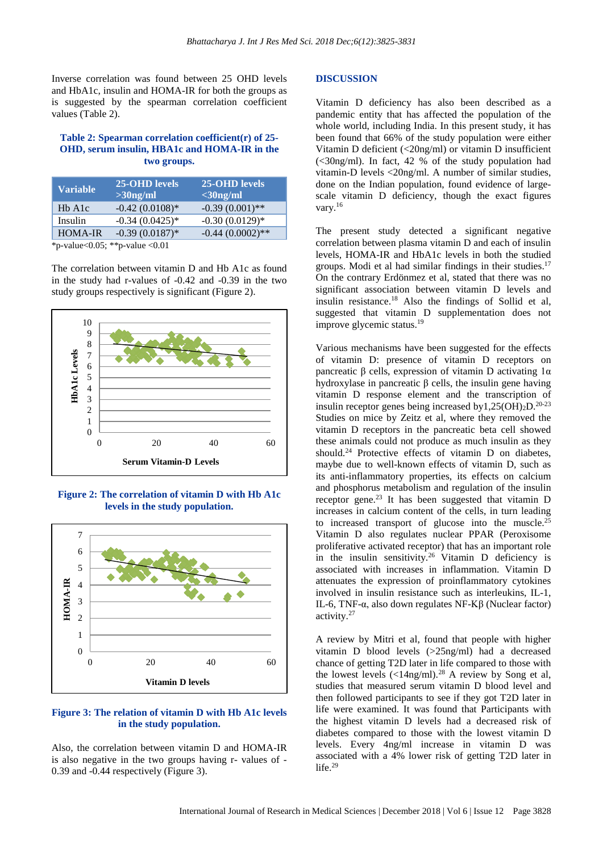Inverse correlation was found between 25 OHD levels and HbA1c, insulin and HOMA-IR for both the groups as is suggested by the spearman correlation coefficient values (Table 2).

#### **Table 2: Spearman correlation coefficient(r) of 25- OHD, serum insulin, HBA1c and HOMA-IR in the two groups.**

| <b>Variable</b>                                                   | 25-OHD levels<br>$>30$ ng/ml | 25-OHD levels<br>$\sim$ 30ng/ml |
|-------------------------------------------------------------------|------------------------------|---------------------------------|
| H <sub>b</sub> A <sub>1</sub> c                                   | $-0.42(0.0108)$ *            | $-0.39(0.001)$ **               |
| Insulin                                                           | $-0.34(0.0425)*$             | $-0.30(0.0129)*$                |
| <b>HOMA-IR</b>                                                    | $-0.39(0.0187)$ *            | $-0.44(0.0002)$ **              |
| $\mathbf{d} \mathbf{z}$<br>$\mathbf{1}$ $\mathbf{0}$ $\mathbf{0}$ | $\sim$ 1 $\sim$ 0.1          |                                 |

\*p-value<0.05; \*\*p-value <0.01

The correlation between vitamin D and Hb A1c as found in the study had r-values of -0.42 and -0.39 in the two study groups respectively is significant (Figure 2).



**Figure 2: The correlation of vitamin D with Hb A1c levels in the study population.**



## **Figure 3: The relation of vitamin D with Hb A1c levels in the study population.**

Also, the correlation between vitamin D and HOMA-IR is also negative in the two groups having r- values of - 0.39 and -0.44 respectively (Figure 3).

#### **DISCUSSION**

Vitamin D deficiency has also been described as a pandemic entity that has affected the population of the whole world, including India. In this present study, it has been found that 66% of the study population were either Vitamin D deficient (<20ng/ml) or vitamin D insufficient (<30ng/ml). In fact, 42 % of the study population had vitamin-D levels <20ng/ml. A number of similar studies, done on the Indian population, found evidence of largescale vitamin D deficiency, though the exact figures vary.<sup>16</sup>

The present study detected a significant negative correlation between plasma vitamin D and each of insulin levels, HOMA-IR and HbA1c levels in both the studied groups. Modi et al had similar findings in their studies.<sup>17</sup> On the contrary Erdönmez et al, stated that there was no significant association between vitamin D levels and insulin resistance.<sup>18</sup> Also the findings of Sollid et al, suggested that vitamin D supplementation does not improve glycemic status.<sup>19</sup>

Various mechanisms have been suggested for the effects of vitamin D: presence of vitamin D receptors on pancreatic β cells, expression of vitamin D activating 1α hydroxylase in pancreatic β cells, the insulin gene having vitamin D response element and the transcription of insulin receptor genes being increased by  $1,25(OH)<sub>2</sub>D.<sup>20-23</sup>$ Studies on mice by Zeitz et al, where they removed the vitamin D receptors in the pancreatic beta cell showed these animals could not produce as much insulin as they should.<sup>24</sup> Protective effects of vitamin D on diabetes, maybe due to well-known effects of vitamin D, such as its anti-inflammatory properties, its effects on calcium and phosphorus metabolism and regulation of the insulin receptor gene.<sup>23</sup> It has been suggested that vitamin D increases in calcium content of the cells, in turn leading to increased transport of glucose into the muscle.<sup>25</sup> Vitamin D also regulates nuclear PPAR (Peroxisome proliferative activated receptor) that has an important role in the insulin sensitivity.<sup>26</sup> Vitamin D deficiency is associated with increases in inflammation. Vitamin D attenuates the expression of proinflammatory cytokines involved in insulin resistance such as interleukins, IL-1, IL-6, TNF-α, also down regulates NF-Kβ (Nuclear factor) activity.<sup>27</sup>

A review by Mitri et al, found that people with higher vitamin D blood levels (>25ng/ml) had a decreased chance of getting T2D later in life compared to those with the lowest levels  $\left($  <14ng/ml).<sup>28</sup> A review by Song et al, studies that measured serum vitamin D blood level and then followed participants to see if they got T2D later in life were examined. It was found that Participants with the highest vitamin D levels had a decreased risk of diabetes compared to those with the lowest vitamin D levels. Every 4ng/ml increase in vitamin D was associated with a 4% lower risk of getting T2D later in life. $29$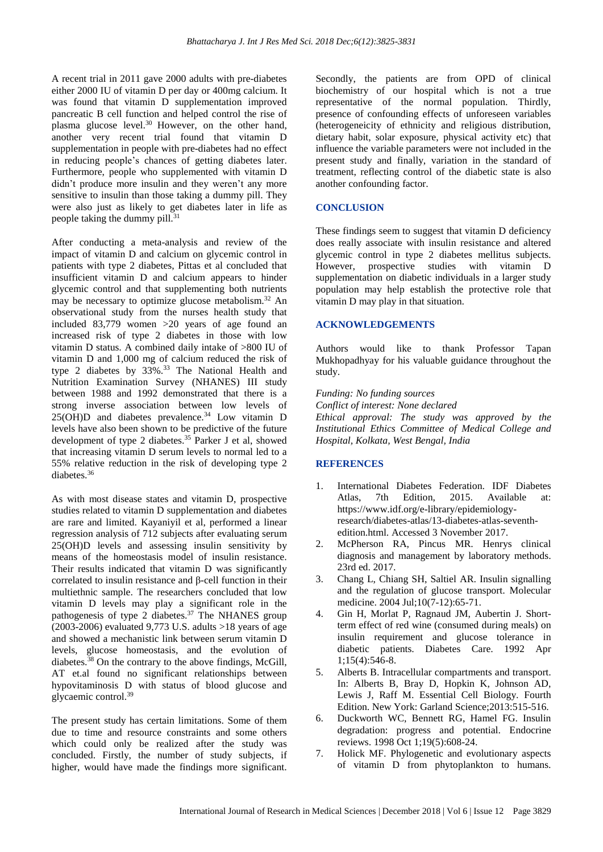A recent trial in 2011 gave 2000 adults with pre-diabetes either 2000 IU of vitamin D per day or 400mg calcium. It was found that vitamin D supplementation improved pancreatic B cell function and helped control the rise of plasma glucose level.<sup>30</sup> However, on the other hand, another very recent trial found that vitamin D supplementation in people with pre-diabetes had no effect in reducing people's chances of getting diabetes later. Furthermore, people who supplemented with vitamin D didn't produce more insulin and they weren't any more sensitive to insulin than those taking a dummy pill. They were also just as likely to get diabetes later in life as people taking the dummy pill.<sup>31</sup>

After conducting a meta-analysis and review of the impact of vitamin D and calcium on glycemic control in patients with type 2 diabetes, Pittas et al concluded that insufficient vitamin D and calcium appears to hinder glycemic control and that supplementing both nutrients may be necessary to optimize glucose metabolism.<sup>32</sup> An observational study from the nurses health study that included 83,779 women >20 years of age found an increased risk of type 2 diabetes in those with low vitamin D status. A combined daily intake of >800 IU of vitamin D and 1,000 mg of calcium reduced the risk of type 2 diabetes by 33%.<sup>33</sup> The National Health and Nutrition Examination Survey (NHANES) III study between 1988 and 1992 demonstrated that there is a strong inverse association between low levels of  $25(OH)D$  and diabetes prevalence.<sup>34</sup> Low vitamin D levels have also been shown to be predictive of the future development of type 2 diabetes.<sup>35</sup> Parker J et al, showed that increasing vitamin D serum levels to normal led to a 55% relative reduction in the risk of developing type 2 diabetes.<sup>36</sup>

As with most disease states and vitamin D, prospective studies related to vitamin D supplementation and diabetes are rare and limited. Kayaniyil et al, performed a linear regression analysis of 712 subjects after evaluating serum 25(OH)D levels and assessing insulin sensitivity by means of the homeostasis model of insulin resistance. Their results indicated that vitamin D was significantly correlated to insulin resistance and β-cell function in their multiethnic sample. The researchers concluded that low vitamin D levels may play a significant role in the pathogenesis of type  $\overline{2}$  diabetes.<sup>37</sup> The NHANES group  $(2003-2006)$  evaluated 9,773 U.S. adults  $>18$  years of age and showed a mechanistic link between serum vitamin D levels, glucose homeostasis, and the evolution of diabetes.<sup>38</sup> On the contrary to the above findings, McGill, AT et.al found no significant relationships between hypovitaminosis D with status of blood glucose and glycaemic control. 39

The present study has certain limitations. Some of them due to time and resource constraints and some others which could only be realized after the study was concluded. Firstly, the number of study subjects, if higher, would have made the findings more significant. Secondly, the patients are from OPD of clinical biochemistry of our hospital which is not a true representative of the normal population. Thirdly, presence of confounding effects of unforeseen variables (heterogeneicity of ethnicity and religious distribution, dietary habit, solar exposure, physical activity etc) that influence the variable parameters were not included in the present study and finally, variation in the standard of treatment, reflecting control of the diabetic state is also another confounding factor.

## **CONCLUSION**

These findings seem to suggest that vitamin D deficiency does really associate with insulin resistance and altered glycemic control in type 2 diabetes mellitus subjects. However, prospective studies with vitamin D supplementation on diabetic individuals in a larger study population may help establish the protective role that vitamin D may play in that situation.

#### **ACKNOWLEDGEMENTS**

Authors would like to thank Professor Tapan Mukhopadhyay for his valuable guidance throughout the study.

*Funding: No funding sources Conflict of interest: None declared Ethical approval: The study was approved by the Institutional Ethics Committee of Medical College and Hospital, Kolkata, West Bengal, India*

## **REFERENCES**

- 1. International Diabetes Federation. IDF Diabetes Atlas, 7th Edition, 2015. Available at: https://www.idf.org/e-library/epidemiologyresearch/diabetes-atlas/13-diabetes-atlas-seventhedition.html. Accessed 3 November 2017.
- 2. McPherson RA, Pincus MR. Henrys clinical diagnosis and management by laboratory methods. 23rd ed. 2017.
- 3. Chang L, Chiang SH, Saltiel AR. Insulin signalling and the regulation of glucose transport. Molecular medicine. 2004 Jul;10(7-12):65-71.
- 4. Gin H, Morlat P, Ragnaud JM, Aubertin J. Shortterm effect of red wine (consumed during meals) on insulin requirement and glucose tolerance in diabetic patients. Diabetes Care. 1992 Apr 1;15(4):546-8.
- 5. Alberts B. Intracellular compartments and transport. In: Alberts B, Bray D, Hopkin K, Johnson AD, Lewis J, Raff M. Essential Cell Biology. Fourth Edition. New York: Garland Science;2013:515-516.
- 6. Duckworth WC, Bennett RG, Hamel FG. Insulin degradation: progress and potential. Endocrine reviews. 1998 Oct 1;19(5):608-24.
- 7. Holick MF. Phylogenetic and evolutionary aspects of vitamin D from phytoplankton to humans.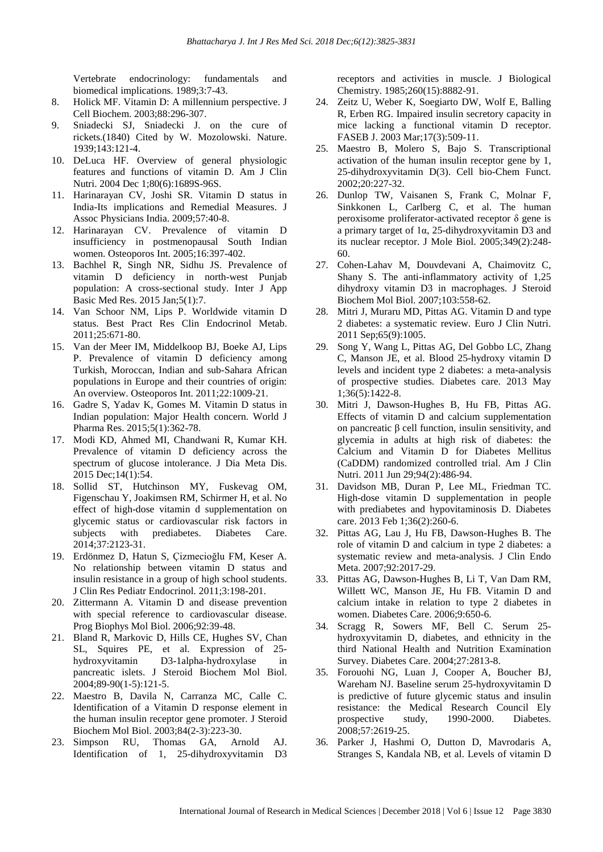Vertebrate endocrinology: fundamentals and biomedical implications. 1989;3:7-43.

- 8. Holick MF. Vitamin D: A millennium perspective. J Cell Biochem. 2003;88:296-307.
- 9. Sniadecki SJ, Sniadecki J. on the cure of rickets.(1840) Cited by W. Mozolowski. Nature. 1939;143:121-4.
- 10. DeLuca HF. Overview of general physiologic features and functions of vitamin D. Am J Clin Nutri. 2004 Dec 1;80(6):1689S-96S.
- 11. Harinarayan CV, Joshi SR. Vitamin D status in India-Its implications and Remedial Measures. J Assoc Physicians India. 2009;57:40-8.
- 12. Harinarayan CV. Prevalence of vitamin D insufficiency in postmenopausal South Indian women. Osteoporos Int. 2005;16:397-402.
- 13. Bachhel R, Singh NR, Sidhu JS. Prevalence of vitamin D deficiency in north-west Punjab population: A cross-sectional study. Inter J App Basic Med Res. 2015 Jan;5(1):7.
- 14. Van Schoor NM, Lips P. Worldwide vitamin D status. Best Pract Res Clin Endocrinol Metab. 2011;25:671-80.
- 15. Van der Meer IM, Middelkoop BJ, Boeke AJ, Lips P. Prevalence of vitamin D deficiency among Turkish, Moroccan, Indian and sub-Sahara African populations in Europe and their countries of origin: An overview. Osteoporos Int. 2011;22:1009-21.
- 16. Gadre S, Yadav K, Gomes M. Vitamin D status in Indian population: Major Health concern. World J Pharma Res. 2015;5(1):362-78.
- 17. Modi KD, Ahmed MI, Chandwani R, Kumar KH. Prevalence of vitamin D deficiency across the spectrum of glucose intolerance. J Dia Meta Dis. 2015 Dec;14(1):54.
- 18. Sollid ST, Hutchinson MY, Fuskevag OM, Figenschau Y, Joakimsen RM, Schirmer H, et al. No effect of high-dose vitamin d supplementation on glycemic status or cardiovascular risk factors in subjects with prediabetes. Diabetes Care. 2014;37:2123-31.
- 19. Erdönmez D, Hatun S, Çizmecioğlu FM, Keser A. No relationship between vitamin D status and insulin resistance in a group of high school students. J Clin Res Pediatr Endocrinol. 2011;3:198-201.
- 20. Zittermann A. Vitamin D and disease prevention with special reference to cardiovascular disease. Prog Biophys Mol Biol. 2006;92:39-48.
- 21. Bland R, Markovic D, Hills CE, Hughes SV, Chan SL, Squires PE, et al. Expression of 25 hydroxyvitamin D3-1alpha-hydroxylase in pancreatic islets. J Steroid Biochem Mol Biol. 2004;89-90(1-5):121-5.
- 22. Maestro B, Davila N, Carranza MC, Calle C. Identification of a Vitamin D response element in the human insulin receptor gene promoter. J Steroid Biochem Mol Biol. 2003;84(2-3):223-30.
- 23. Simpson RU, Thomas GA, Arnold AJ. Identification of 1, 25-dihydroxyvitamin D3

receptors and activities in muscle. J Biological Chemistry. 1985;260(15):8882-91.

- 24. Zeitz U, Weber K, Soegiarto DW, Wolf E, Balling R, Erben RG. Impaired insulin secretory capacity in mice lacking a functional vitamin D receptor. FASEB J. 2003 Mar;17(3):509-11.
- 25. Maestro B, Molero S, Bajo S. Transcriptional activation of the human insulin receptor gene by 1, 25-dihydroxyvitamin D(3). Cell bio-Chem Funct. 2002;20:227-32.
- 26. Dunlop TW, Vaisanen S, Frank C, Molnar F, Sinkkonen L, Carlberg C, et al. The human peroxisome proliferator-activated receptor  $\delta$  gene is a primary target of 1α, 25-dihydroxyvitamin D3 and its nuclear receptor. J Mole Biol. 2005;349(2):248- 60.
- 27. Cohen-Lahav M, Douvdevani A, Chaimovitz C, Shany S. The anti-inflammatory activity of 1,25 dihydroxy vitamin D3 in macrophages. J Steroid Biochem Mol Biol. 2007;103:558-62.
- 28. Mitri J, Muraru MD, Pittas AG. Vitamin D and type 2 diabetes: a systematic review. Euro J Clin Nutri. 2011 Sep;65(9):1005.
- 29. Song Y, Wang L, Pittas AG, Del Gobbo LC, Zhang C, Manson JE, et al. Blood 25-hydroxy vitamin D levels and incident type 2 diabetes: a meta-analysis of prospective studies. Diabetes care. 2013 May 1;36(5):1422-8.
- 30. Mitri J, Dawson-Hughes B, Hu FB, Pittas AG. Effects of vitamin D and calcium supplementation on pancreatic β cell function, insulin sensitivity, and glycemia in adults at high risk of diabetes: the Calcium and Vitamin D for Diabetes Mellitus (CaDDM) randomized controlled trial. Am J Clin Nutri. 2011 Jun 29;94(2):486-94.
- 31. Davidson MB, Duran P, Lee ML, Friedman TC. High-dose vitamin D supplementation in people with prediabetes and hypovitaminosis D. Diabetes care. 2013 Feb 1;36(2):260-6.
- 32. Pittas AG, Lau J, Hu FB, Dawson-Hughes B. The role of vitamin D and calcium in type 2 diabetes: a systematic review and meta-analysis. J Clin Endo Meta. 2007;92:2017-29.
- 33. Pittas AG, Dawson-Hughes B, Li T, Van Dam RM, Willett WC, Manson JE, Hu FB. Vitamin D and calcium intake in relation to type 2 diabetes in women. Diabetes Care. 2006;9:650-6.
- 34. Scragg R, Sowers MF, Bell C. Serum 25 hydroxyvitamin D, diabetes, and ethnicity in the third National Health and Nutrition Examination Survey. Diabetes Care. 2004;27:2813-8.
- 35. Forouohi NG, Luan J, Cooper A, Boucher BJ, Wareham NJ. Baseline serum 25-hydroxyvitamin D is predictive of future glycemic status and insulin resistance: the Medical Research Council Ely prospective study, 1990-2000. Diabetes. 2008;57:2619-25.
- 36. Parker J, Hashmi O, Dutton D, Mavrodaris A, Stranges S, Kandala NB, et al. Levels of vitamin D